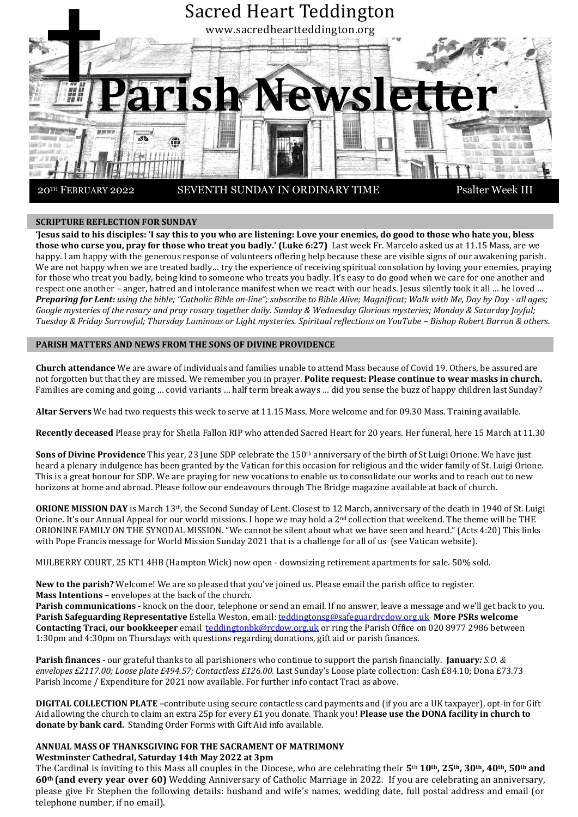

### **SCRIPTURE REFLECTION FOR SUNDAY**

**'Jesus said to his disciples: 'I say this to you who are listening: Love your enemies, do good to those who hate you, bless those who curse you, pray for those who treat you badly.' (Luke 6:27)** Last week Fr. Marcelo asked us at 11.15 Mass, are we happy. I am happy with the generous response of volunteers offering help because these are visible signs of our awakening parish. We are not happy when we are treated badly… try the experience of receiving spiritual consolation by loving your enemies, praying for those who treat you badly, being kind to someone who treats you badly. It's easy to do good when we care for one another and respect one another – anger, hatred and intolerance manifest when we react with our heads. Jesus silently took it all … he loved … Preparing for Lent: using the bible; "Catholic Bible on-line"; subscribe to Bible Alive; Magnificat; Walk with Me, Day by Day - all ages; *Google mysteries of the rosary and pray rosary together daily. Sunday & Wednesday Glorious mysteries; Monday & Saturday Joyful; Tuesday & Friday Sorrowful; Thursday Luminous or Light mysteries. Spiritual reflections on YouTube – Bishop Robert Barron & others.*

## **PARISH MATTERS AND NEWS FROM THE SONS OF DIVINE PROVIDENCE**

**Church attendance** We are aware of individuals and families unable to attend Mass because of Covid 19. Others, be assured are not forgotten but that they are missed. We remember you in prayer. **Polite request: Please continue to wear masks in church.** Families are coming and going … covid variants … half term break aways … did you sense the buzz of happy children last Sunday?

**Altar Servers** We had two requests this week to serve at 11.15 Mass. More welcome and for 09.30 Mass. Training available.

**Recently deceased** Please pray for Sheila Fallon RIP who attended Sacred Heart for 20 years. Her funeral, here 15 March at 11.30

**Sons of Divine Providence** This year, 23 June SDP celebrate the 150<sup>th</sup> anniversary of the birth of St Luigi Orione. We have just heard a plenary indulgence has been granted by the Vatican for this occasion for religious and the wider family of St. Luigi Orione. This is a great honour for SDP. We are praying for new vocations to enable us to consolidate our works and to reach out to new horizons at home and abroad. Please follow our endeavours through The Bridge magazine available at back of church.

**ORIONE MISSION DAY** is March 13th, the Second Sunday of Lent. Closest to 12 March, anniversary of the death in 1940 of St. Luigi Orione. It's our Annual Appeal for our world missions. I hope we may hold a  $2<sup>nd</sup>$  collection that weekend. The theme will be THE ORIONINE FAMILY ON THE SYNODAL MISSION. "We cannot be silent about what we have seen and heard." (Acts 4:20) This links with Pope Francis message for World Mission Sunday 2021 that is a challenge for all of us (see Vatican website).

MULBERRY COURT, 25 KT1 4HB (Hampton Wick) now open - downsizing retirement apartments for sale. 50% sold.

**New to the parish?** Welcome! We are so pleased that you've joined us. Please email the parish office to register. **Mass Intentions** – envelopes at the back of the church.

**Parish communications** - knock on the door, telephone or send an email. If no answer, leave a message and we'll get back to you. **Parish Safeguarding Representative** Estella Weston, email: [teddingtonsg@safeguardrcdow.org.uk](mailto:teddingtonsg@safeguardrcdow.org.uk) **More PSRs welcome Contacting Traci, our bookkeeper** email [teddingtonbk@rcdow.org.uk](mailto:teddingtonbk@rcdow.org.uk) or ring the Parish Office on 020 8977 2986 between 1:30pm and 4:30pm on Thursdays with questions regarding donations, gift aid or parish finances.

**Parish finances** - our grateful thanks to all parishioners who continue to support the parish financially. **January***: S.O. & envelopes £2117.00; Loose plate £494.57; Contactless £126.00.* Last Sunday's Loose plate collection: Cash £84.10; Dona £73.73 Parish Income / Expenditure for 2021 now available. For further info contact Traci as above.

**DIGITAL COLLECTION PLATE –**contribute using secure contactless card payments and (if you are a UK taxpayer), opt-in for Gift Aid allowing the church to claim an extra 25p for every £1 you donate. Thank you! **Please use the DONA facility in church to donate by bank card.** Standing Order Forms with Gift Aid info available.

#### **ANNUAL MASS OF THANKSGIVING FOR THE SACRAMENT OF MATRIMONY Westminster Cathedral, Saturday 14th May 2022 at 3pm**

The Cardinal is inviting to this Mass all couples in the Diocese, who are celebrating their **5**th **10th, 25th, 30th, 40th, 50th and 60th (and every year over 60)** Wedding Anniversary of Catholic Marriage in 2022. If you are celebrating an anniversary, please give Fr Stephen the following details: husband and wife's names, wedding date, full postal address and email (or telephone number, if no email).